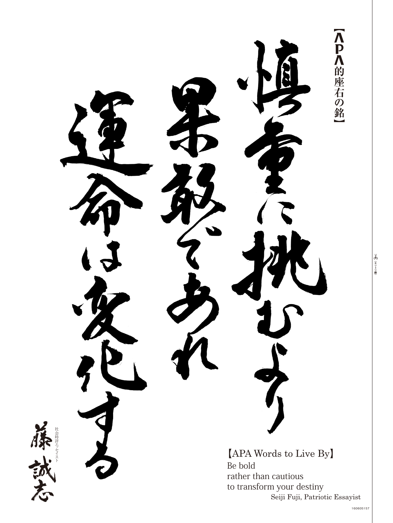【人 】 八 的 座 右 の 銘 [APA Words to Live By] Be bold rather than cautious to transform your destiny Seiji Fuji, Patriotic Essayist

8 全りトリ線